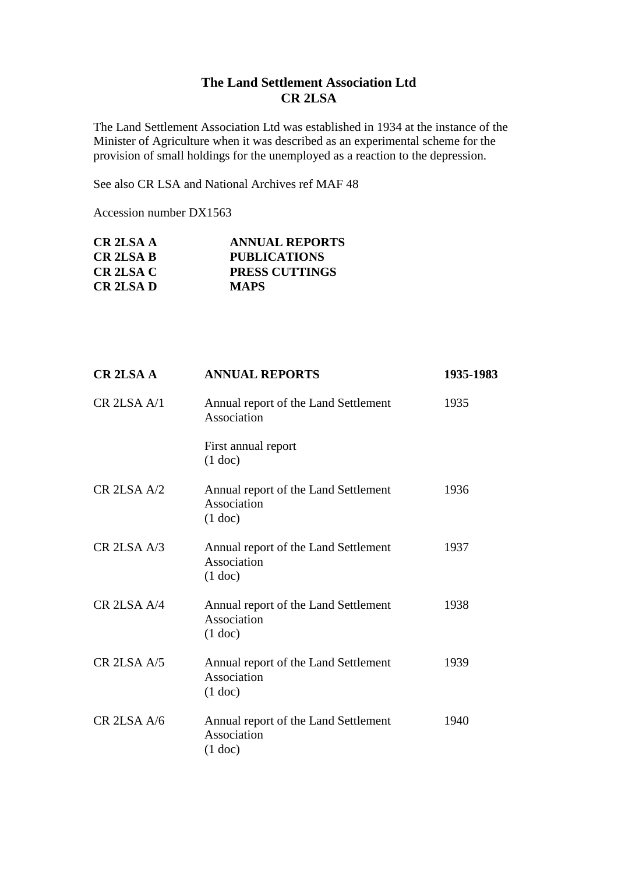## **The Land Settlement Association Ltd CR 2LSA**

The Land Settlement Association Ltd was established in 1934 at the instance of the Minister of Agriculture when it was described as an experimental scheme for the provision of small holdings for the unemployed as a reaction to the depression.

See also CR LSA and National Archives ref MAF 48

Accession number DX1563

| CR 2LSA A            | <b>ANNUAL REPORTS</b> |
|----------------------|-----------------------|
| CR 2LSA B            | <b>PUBLICATIONS</b>   |
| CR 2LSA C            | <b>PRESS CUTTINGS</b> |
| CR <sub>2LSA</sub> D | <b>MAPS</b>           |

| <b>CR2LSAA</b>         | <b>ANNUAL REPORTS</b>                                            | 1935-1983 |
|------------------------|------------------------------------------------------------------|-----------|
| CR <sub>2LSA</sub> A/1 | Annual report of the Land Settlement<br>Association              | 1935      |
|                        | First annual report<br>$(1$ doc)                                 |           |
| CR <sub>2LSA</sub> A/2 | Annual report of the Land Settlement<br>Association<br>$(1$ doc) | 1936      |
| CR <sub>2LSA</sub> A/3 | Annual report of the Land Settlement<br>Association<br>$(1$ doc) | 1937      |
| CR <sub>2LSA</sub> A/4 | Annual report of the Land Settlement<br>Association<br>$(1$ doc) | 1938      |
| CR <sub>2LSA</sub> A/5 | Annual report of the Land Settlement<br>Association<br>$(1$ doc) | 1939      |
| CR <sub>2LSA</sub> A/6 | Annual report of the Land Settlement<br>Association<br>$(1$ doc) | 1940      |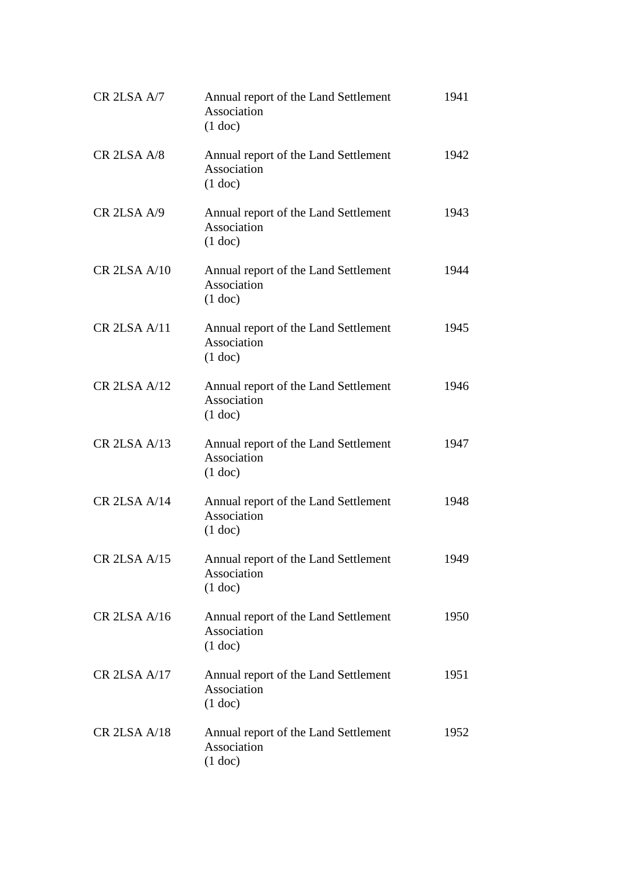| CR <sub>2LSA</sub> A/7  | Annual report of the Land Settlement<br>Association<br>$(1$ doc) | 1941 |
|-------------------------|------------------------------------------------------------------|------|
| CR <sub>2LSA</sub> A/8  | Annual report of the Land Settlement<br>Association<br>$(1$ doc) | 1942 |
| CR <sub>2LSA</sub> A/9  | Annual report of the Land Settlement<br>Association<br>$(1$ doc) | 1943 |
| CR <sub>2LSA</sub> A/10 | Annual report of the Land Settlement<br>Association<br>$(1$ doc) | 1944 |
| <b>CR 2LSA A/11</b>     | Annual report of the Land Settlement<br>Association<br>$(1$ doc) | 1945 |
| CR <sub>2LSA</sub> A/12 | Annual report of the Land Settlement<br>Association<br>$(1$ doc) | 1946 |
| CR <sub>2LSA</sub> A/13 | Annual report of the Land Settlement<br>Association<br>$(1$ doc) | 1947 |
| CR <sub>2LSA</sub> A/14 | Annual report of the Land Settlement<br>Association<br>$(1$ doc) | 1948 |
| CR <sub>2LSA</sub> A/15 | Annual report of the Land Settlement<br>Association<br>$(1$ doc) | 1949 |
| CR <sub>2LSA</sub> A/16 | Annual report of the Land Settlement<br>Association<br>$(1$ doc) | 1950 |
| CR <sub>2LSA</sub> A/17 | Annual report of the Land Settlement<br>Association<br>$(1$ doc) | 1951 |
| CR <sub>2LSA</sub> A/18 | Annual report of the Land Settlement<br>Association<br>$(1$ doc) | 1952 |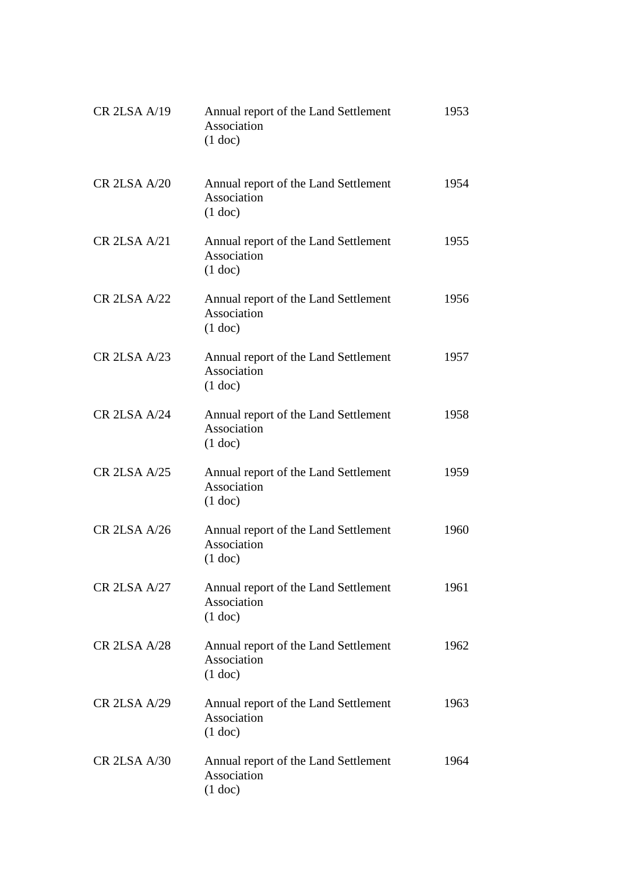| CR <sub>2LSA</sub> A/19 | Annual report of the Land Settlement<br>Association<br>$(1$ doc) | 1953 |
|-------------------------|------------------------------------------------------------------|------|
| CR <sub>2LSA</sub> A/20 | Annual report of the Land Settlement<br>Association<br>$(1$ doc) | 1954 |
| <b>CR 2LSA A/21</b>     | Annual report of the Land Settlement<br>Association<br>$(1$ doc) | 1955 |
| CR 2LSA A/22            | Annual report of the Land Settlement<br>Association<br>$(1$ doc) | 1956 |
| CR <sub>2LSA</sub> A/23 | Annual report of the Land Settlement<br>Association<br>$(1$ doc) | 1957 |
| CR <sub>2LSA</sub> A/24 | Annual report of the Land Settlement<br>Association<br>$(1$ doc) | 1958 |
| CR <sub>2LSA</sub> A/25 | Annual report of the Land Settlement<br>Association<br>$(1$ doc) | 1959 |
| CR <sub>2LSA</sub> A/26 | Annual report of the Land Settlement<br>Association<br>$(1$ doc) | 1960 |
| CR <sub>2LSA</sub> A/27 | Annual report of the Land Settlement<br>Association<br>$(1$ doc) | 1961 |
| CR <sub>2LSA</sub> A/28 | Annual report of the Land Settlement<br>Association<br>$(1$ doc) | 1962 |
| CR <sub>2LSA</sub> A/29 | Annual report of the Land Settlement<br>Association<br>$(1$ doc) | 1963 |
| CR <sub>2LSA</sub> A/30 | Annual report of the Land Settlement<br>Association<br>$(1$ doc) | 1964 |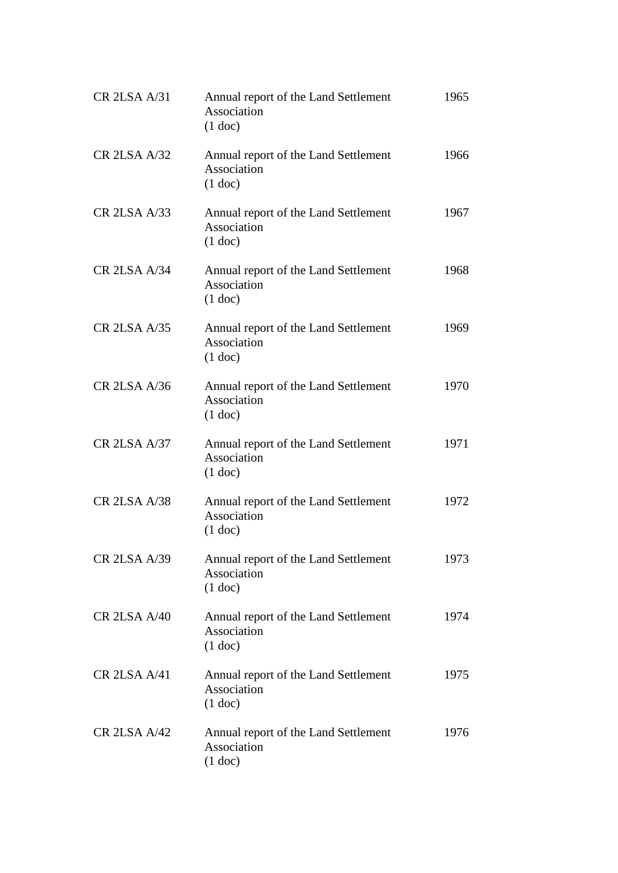| CR <sub>2LSA</sub> A/31 | Annual report of the Land Settlement<br>Association<br>$(1$ doc) | 1965 |
|-------------------------|------------------------------------------------------------------|------|
| CR <sub>2LSA</sub> A/32 | Annual report of the Land Settlement<br>Association<br>$(1$ doc) | 1966 |
| CR <sub>2LSA</sub> A/33 | Annual report of the Land Settlement<br>Association<br>$(1$ doc) | 1967 |
| CR <sub>2LSA</sub> A/34 | Annual report of the Land Settlement<br>Association<br>$(1$ doc) | 1968 |
| CR <sub>2LSA</sub> A/35 | Annual report of the Land Settlement<br>Association<br>$(1$ doc) | 1969 |
| CR <sub>2LSA</sub> A/36 | Annual report of the Land Settlement<br>Association<br>$(1$ doc) | 1970 |
| CR <sub>2LSA</sub> A/37 | Annual report of the Land Settlement<br>Association<br>$(1$ doc) | 1971 |
| CR <sub>2LSA</sub> A/38 | Annual report of the Land Settlement<br>Association<br>$(1$ doc) | 1972 |
| CR <sub>2LSA</sub> A/39 | Annual report of the Land Settlement<br>Association<br>$(1$ doc) | 1973 |
| CR <sub>2LSA</sub> A/40 | Annual report of the Land Settlement<br>Association<br>$(1$ doc) | 1974 |
| CR <sub>2LSA</sub> A/41 | Annual report of the Land Settlement<br>Association<br>$(1$ doc) | 1975 |
| CR <sub>2LSA</sub> A/42 | Annual report of the Land Settlement<br>Association<br>$(1$ doc) | 1976 |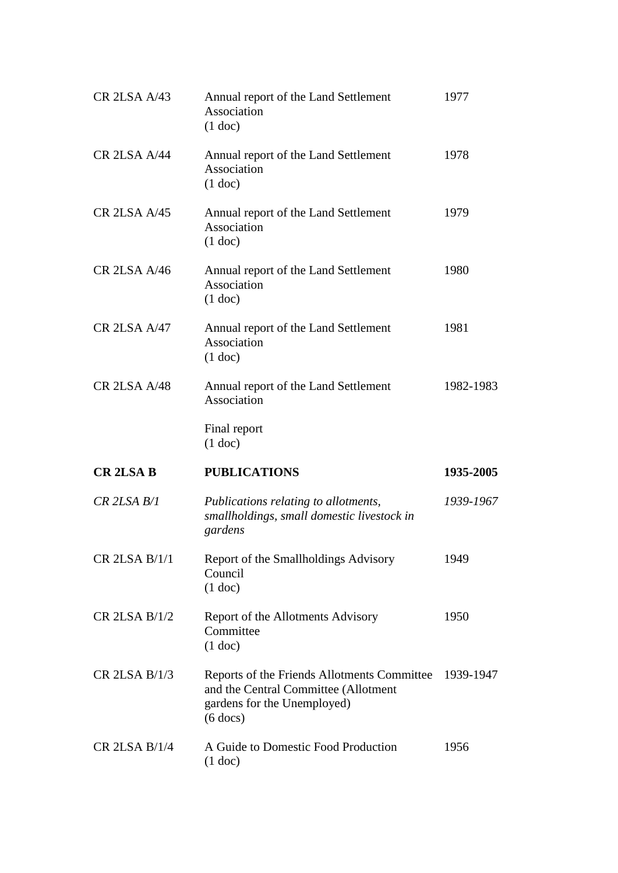| CR <sub>2LSA</sub> A/43 | Annual report of the Land Settlement<br>Association<br>$(1$ doc)                                                                 | 1977      |
|-------------------------|----------------------------------------------------------------------------------------------------------------------------------|-----------|
| CR <sub>2LSA</sub> A/44 | Annual report of the Land Settlement<br>Association<br>$(1$ doc)                                                                 | 1978      |
| CR <sub>2LSA</sub> A/45 | Annual report of the Land Settlement<br>Association<br>$(1$ doc)                                                                 | 1979      |
| CR <sub>2LSA</sub> A/46 | Annual report of the Land Settlement<br>Association<br>$(1$ doc)                                                                 | 1980      |
| CR <sub>2LSA</sub> A/47 | Annual report of the Land Settlement<br>Association<br>$(1$ doc)                                                                 | 1981      |
| CR <sub>2LSA</sub> A/48 | Annual report of the Land Settlement<br>Association                                                                              | 1982-1983 |
|                         | Final report<br>$(1$ doc)                                                                                                        |           |
| <b>CR2LSAB</b>          | <b>PUBLICATIONS</b>                                                                                                              | 1935-2005 |
| $CR$ 2LSA $B/I$         | Publications relating to allotments,<br>smallholdings, small domestic livestock in<br>gardens                                    | 1939-1967 |
| CR 2LSA B/1/1           | Report of the Smallholdings Advisory<br>Council<br>$(1$ doc)                                                                     | 1949      |
| $CR$ 2LSA $B/1/2$       | Report of the Allotments Advisory<br>Committee<br>$(1$ doc)                                                                      | 1950      |
| CR 2LSA B/1/3           | Reports of the Friends Allotments Committee<br>and the Central Committee (Allotment<br>gardens for the Unemployed)<br>$(6$ docs) | 1939-1947 |
| CR 2LSA B/1/4           | A Guide to Domestic Food Production<br>$(1$ doc)                                                                                 | 1956      |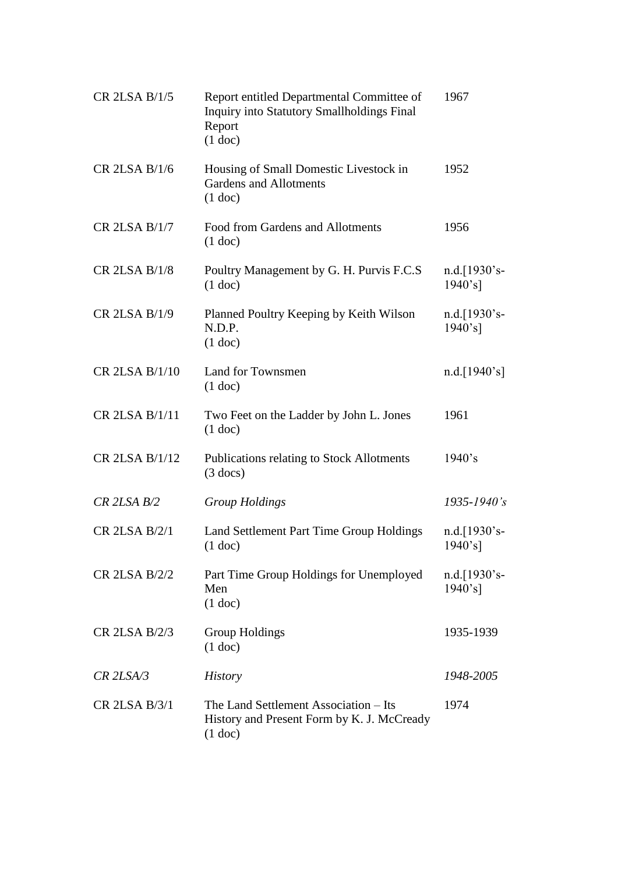| CR 2LSA B/1/5        | Report entitled Departmental Committee of<br><b>Inquiry into Statutory Smallholdings Final</b><br>Report<br>$(1$ doc) | 1967                         |
|----------------------|-----------------------------------------------------------------------------------------------------------------------|------------------------------|
| CR 2LSA B/1/6        | Housing of Small Domestic Livestock in<br><b>Gardens and Allotments</b><br>$(1$ doc)                                  | 1952                         |
| CR 2LSA B/1/7        | Food from Gardens and Allotments<br>$(1$ doc)                                                                         | 1956                         |
| <b>CR 2LSA B/1/8</b> | Poultry Management by G. H. Purvis F.C.S.<br>$(1$ doc)                                                                | $n.d.[1930's-$<br>1940's]    |
| CR 2LSA B/1/9        | Planned Poultry Keeping by Keith Wilson<br>N.D.P.<br>$(1$ doc)                                                        | $n.d.[1930's-$<br>$1940's$ ] |
| CR 2LSA B/1/10       | Land for Townsmen<br>$(1$ doc)                                                                                        | n.d.[1940's]                 |
| CR 2LSA B/1/11       | Two Feet on the Ladder by John L. Jones<br>$(1$ doc)                                                                  | 1961                         |
| CR 2LSA B/1/12       | Publications relating to Stock Allotments<br>$(3$ docs)                                                               | 1940's                       |
| $CR$ 2LSA $B/2$      | <b>Group Holdings</b>                                                                                                 | 1935-1940's                  |
| CR 2LSA B/2/1        | Land Settlement Part Time Group Holdings<br>$(1$ doc)                                                                 | $n.d.[1930's-$<br>$1940's$ ] |
| CR 2LSA B/2/2        | Part Time Group Holdings for Unemployed<br>Men<br>$(1$ doc)                                                           | $n.d.[1930's-$<br>$1940's$ ] |
| CR 2LSA B/2/3        | <b>Group Holdings</b><br>$(1$ doc)                                                                                    | 1935-1939                    |
| $CR$ 2LSA/3          | <b>History</b>                                                                                                        | 1948-2005                    |
| CR 2LSA B/3/1        | The Land Settlement Association – Its<br>History and Present Form by K. J. McCready<br>$(1$ doc)                      | 1974                         |